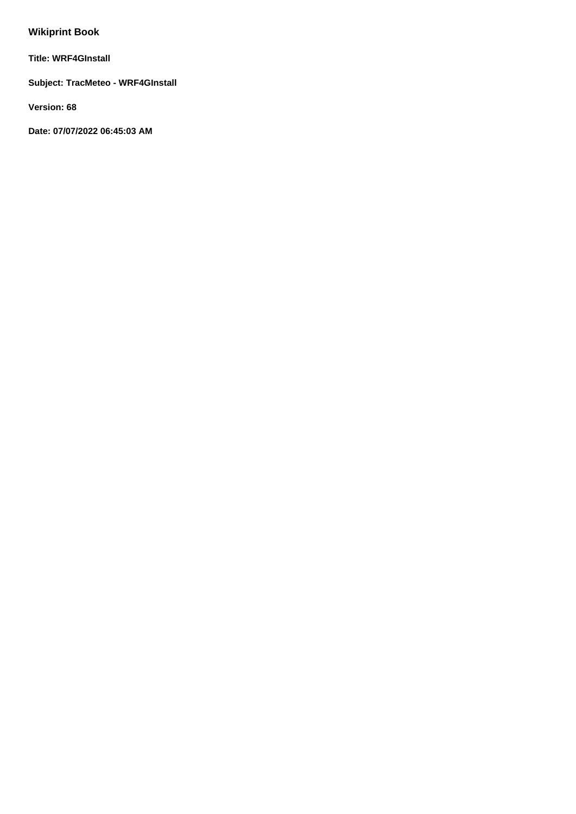# **Wikiprint Book**

**Title: WRF4GInstall**

**Subject: TracMeteo - WRF4GInstall**

**Version: 68**

**Date: 07/07/2022 06:45:03 AM**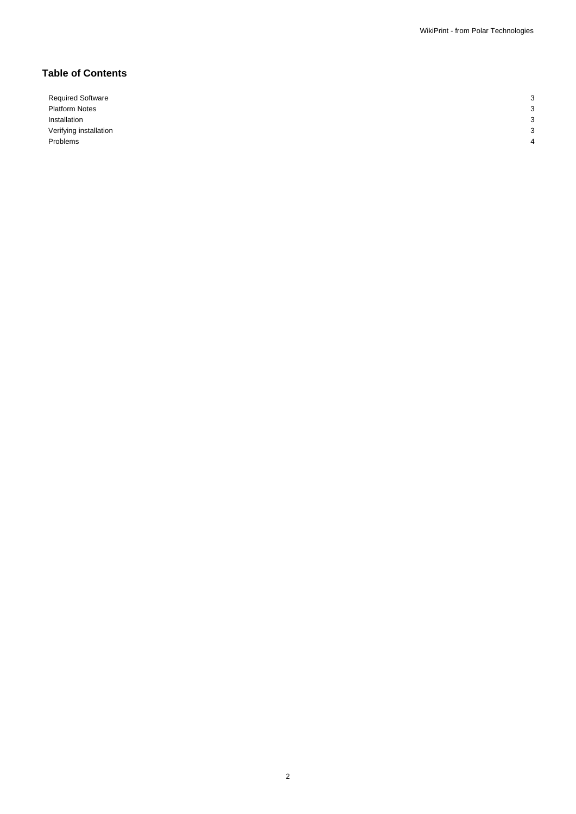## **Table of Contents**

Required Software 3 Platform Notes 3 Installation 3 Verifying installation 3 Problems 4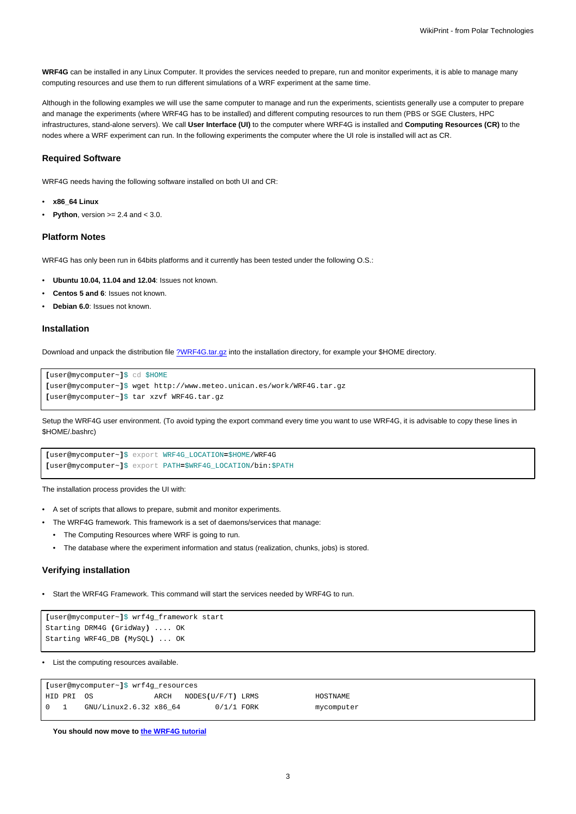**WRF4G** can be installed in any Linux Computer. It provides the services needed to prepare, run and monitor experiments, it is able to manage many computing resources and use them to run different simulations of a WRF experiment at the same time.

Although in the following examples we will use the same computer to manage and run the experiments, scientists generally use a computer to prepare and manage the experiments (where WRF4G has to be installed) and different computing resources to run them (PBS or SGE Clusters, HPC infrastructures, stand-alone servers). We call **User Interface (UI)** to the computer where WRF4G is installed and **Computing Resources (CR)** to the nodes where a WRF experiment can run. In the following experiments the computer where the UI role is installed will act as CR.

#### **Required Software**

WRF4G needs having the following software installed on both UI and CR:

- **x86\_64 Linux**
- **Python**, version  $>= 2.4$  and  $< 3.0$ .

#### **Platform Notes**

WRF4G has only been run in 64bits platforms and it currently has been tested under the following O.S.:

- **Ubuntu 10.04, 11.04 and 12.04**: Issues not known.
- **Centos 5 and 6**: Issues not known.
- **Debian 6.0**: Issues not known.

#### **Installation**

Download and unpack the distribution file [?WRF4G.tar.gz](http://meteo.macc.unican.es/work/WRF4G.tar.gz) into the installation directory, for example your \$HOME directory.

```
[user@mycomputer~]$ cd $HOME
[user@mycomputer~]$ wget http://www.meteo.unican.es/work/WRF4G.tar.gz
[user@mycomputer~]$ tar xzvf WRF4G.tar.gz
```
Setup the WRF4G user environment. (To avoid typing the export command every time you want to use WRF4G, it is advisable to copy these lines in \$HOME/.bashrc)

```
[user@mycomputer~]$ export WRF4G_LOCATION=$HOME/WRF4G
[user@mycomputer~]$ export PATH=$WRF4G_LOCATION/bin:$PATH
```
The installation process provides the UI with:

- A set of scripts that allows to prepare, submit and monitor experiments.
- The WRF4G framework. This framework is a set of daemons/services that manage:
- The Computing Resources where WRF is going to run.
- The database where the experiment information and status (realization, chunks, jobs) is stored.

#### **Verifying installation**

• Start the WRF4G Framework. This command will start the services needed by WRF4G to run.

```
[user@mycomputer~]$ wrf4g_framework start
Starting DRM4G (GridWay) .... OK
Starting WRF4G_DB (MySQL) ... OK
```
• List the computing resources available.

| [user@mycomputer~]\$ wrf4q resources   |             |                        |      |                   |  |            |
|----------------------------------------|-------------|------------------------|------|-------------------|--|------------|
|                                        | 'HID PRI OS |                        | ARCH | NODES(U/F/T) LRMS |  | HOSTNAME   |
| $\begin{array}{ccc} 0 & 1 \end{array}$ |             | GNU/Linux2.6.32 x86 64 |      | $0/1/1$ FORK      |  | mycomputer |

**You should now move to [the WRF4G tutorial](https://meteo.unican.es/trac/wiki/WRF4GTutorial)**